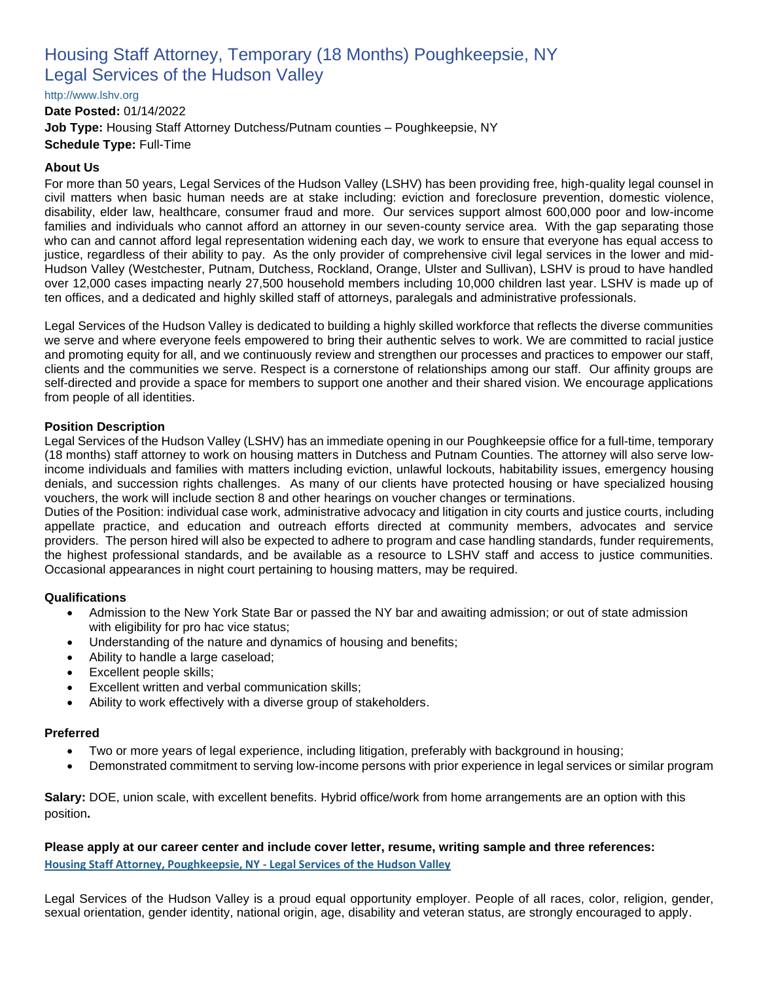# Housing Staff Attorney, Temporary (18 Months) Poughkeepsie, NY Legal Services of the Hudson Valley

[http://www.lshv.org](http://www.lshv.org/)

**Date Posted:** 01/14/2022 **Job Type:** Housing Staff Attorney Dutchess/Putnam counties – Poughkeepsie, NY **Schedule Type:** Full-Time

## **About Us**

For more than 50 years, Legal Services of the Hudson Valley (LSHV) has been providing free, high-quality legal counsel in civil matters when basic human needs are at stake including: eviction and foreclosure prevention, domestic violence, disability, elder law, healthcare, consumer fraud and more. Our services support almost 600,000 poor and low-income families and individuals who cannot afford an attorney in our seven-county service area. With the gap separating those who can and cannot afford legal representation widening each day, we work to ensure that everyone has equal access to justice, regardless of their ability to pay. As the only provider of comprehensive civil legal services in the lower and mid-Hudson Valley (Westchester, Putnam, Dutchess, Rockland, Orange, Ulster and Sullivan), LSHV is proud to have handled over 12,000 cases impacting nearly 27,500 household members including 10,000 children last year. LSHV is made up of ten offices, and a dedicated and highly skilled staff of attorneys, paralegals and administrative professionals.

Legal Services of the Hudson Valley is dedicated to building a highly skilled workforce that reflects the diverse communities we serve and where everyone feels empowered to bring their authentic selves to work. We are committed to racial justice and promoting equity for all, and we continuously review and strengthen our processes and practices to empower our staff, clients and the communities we serve. Respect is a cornerstone of relationships among our staff. Our affinity groups are self-directed and provide a space for members to support one another and their shared vision. We encourage applications from people of all identities.

### **Position Description**

Legal Services of the Hudson Valley (LSHV) has an immediate opening in our Poughkeepsie office for a full-time, temporary (18 months) staff attorney to work on housing matters in Dutchess and Putnam Counties. The attorney will also serve lowincome individuals and families with matters including eviction, unlawful lockouts, habitability issues, emergency housing denials, and succession rights challenges. As many of our clients have protected housing or have specialized housing vouchers, the work will include section 8 and other hearings on voucher changes or terminations.

Duties of the Position: individual case work, administrative advocacy and litigation in city courts and justice courts, including appellate practice, and education and outreach efforts directed at community members, advocates and service providers. The person hired will also be expected to adhere to program and case handling standards, funder requirements, the highest professional standards, and be available as a resource to LSHV staff and access to justice communities. Occasional appearances in night court pertaining to housing matters, may be required.

### **Qualifications**

- Admission to the New York State Bar or passed the NY bar and awaiting admission; or out of state admission with eligibility for pro hac vice status;
- Understanding of the nature and dynamics of housing and benefits;
- Ability to handle a large caseload;
- Excellent people skills:
- Excellent written and verbal communication skills;
- Ability to work effectively with a diverse group of stakeholders.

#### **Preferred**

- Two or more years of legal experience, including litigation, preferably with background in housing;
- Demonstrated commitment to serving low-income persons with prior experience in legal services or similar program

**Salary:** DOE, union scale, with excellent benefits. Hybrid office/work from home arrangements are an option with this position**.**

**Please apply at our career center and include cover letter, resume, writing sample and three references: [Housing Staff Attorney, Poughkeepsie, NY -](https://workforcenow.adp.com/mascsr/default/mdf/recruitment/recruitment.html?cid=f7851cad-0ee5-4966-a07d-95b3052624d4&ccId=19000101_000001&jobId=431305&source=CC2&lang=en_US) Legal Services of the Hudson Valley**

Legal Services of the Hudson Valley is a proud equal opportunity employer. People of all races, color, religion, gender, sexual orientation, gender identity, national origin, age, disability and veteran status, are strongly encouraged to apply.